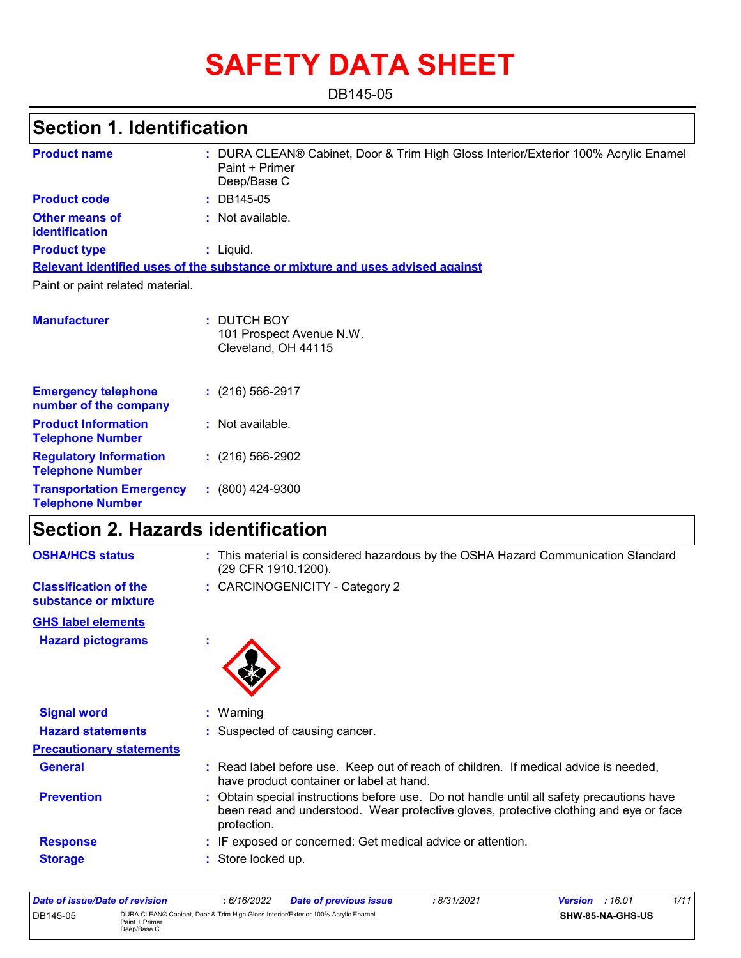# **SAFETY DATA SHEET**

DB145-05

# **Section 1. Identification**

| <b>Product name</b>                                        | : DURA CLEAN® Cabinet, Door & Trim High Gloss Interior/Exterior 100% Acrylic Enamel<br>Paint + Primer<br>Deep/Base C |
|------------------------------------------------------------|----------------------------------------------------------------------------------------------------------------------|
| <b>Product code</b>                                        | $: DB145-05$                                                                                                         |
| <b>Other means of</b><br>identification                    | : Not available.                                                                                                     |
| <b>Product type</b>                                        | : Liquid.                                                                                                            |
|                                                            | Relevant identified uses of the substance or mixture and uses advised against                                        |
| Paint or paint related material.                           |                                                                                                                      |
| <b>Manufacturer</b>                                        | : DUTCH BOY<br>101 Prospect Avenue N.W.<br>Cleveland, OH 44115                                                       |
| <b>Emergency telephone</b><br>number of the company        | $(216)$ 566-2917                                                                                                     |
| <b>Product Information</b><br><b>Telephone Number</b>      | : Not available.                                                                                                     |
| <b>Regulatory Information</b><br><b>Telephone Number</b>   | $(216)$ 566-2902                                                                                                     |
| <b>Transportation Emergency</b><br><b>Telephone Number</b> | $: (800)$ 424-9300                                                                                                   |

### **Section 2. Hazards identification**

| <b>OSHA/HCS status</b>                               |   | : This material is considered hazardous by the OSHA Hazard Communication Standard<br>(29 CFR 1910.1200).                                                                                          |
|------------------------------------------------------|---|---------------------------------------------------------------------------------------------------------------------------------------------------------------------------------------------------|
| <b>Classification of the</b><br>substance or mixture |   | : CARCINOGENICITY - Category 2                                                                                                                                                                    |
| <b>GHS label elements</b>                            |   |                                                                                                                                                                                                   |
| <b>Hazard pictograms</b>                             | t |                                                                                                                                                                                                   |
| <b>Signal word</b>                                   |   | $:$ Warning                                                                                                                                                                                       |
| <b>Hazard statements</b>                             |   | : Suspected of causing cancer.                                                                                                                                                                    |
| <b>Precautionary statements</b>                      |   |                                                                                                                                                                                                   |
| <b>General</b>                                       |   | : Read label before use. Keep out of reach of children. If medical advice is needed,<br>have product container or label at hand.                                                                  |
| <b>Prevention</b>                                    |   | : Obtain special instructions before use. Do not handle until all safety precautions have<br>been read and understood. Wear protective gloves, protective clothing and eye or face<br>protection. |
| <b>Response</b>                                      |   | : IF exposed or concerned: Get medical advice or attention.                                                                                                                                       |
| <b>Storage</b>                                       |   | : Store locked up.                                                                                                                                                                                |

| Date of issue/Date of revision |                                                                                                                    | 6/16/2022 | <b>Date of previous issue</b> | : 8/31/2021 | <b>Version</b> : 16.01 |                  | 1/11 |
|--------------------------------|--------------------------------------------------------------------------------------------------------------------|-----------|-------------------------------|-------------|------------------------|------------------|------|
| DB145-05                       | DURA CLEAN® Cabinet, Door & Trim High Gloss Interior/Exterior 100% Acrylic Enamel<br>Paint + Primer<br>Deep/Base C |           |                               |             |                        | SHW-85-NA-GHS-US |      |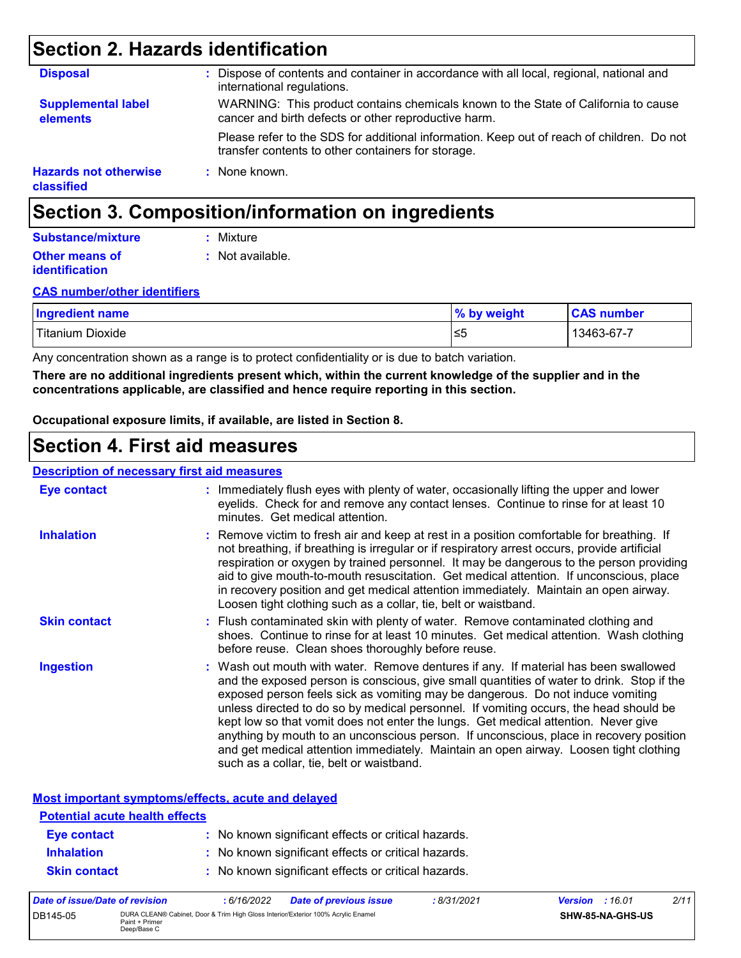### **Section 2. Hazards identification**

| <b>Disposal</b>                            | Dispose of contents and container in accordance with all local, regional, national and<br>international regulations.                            |
|--------------------------------------------|-------------------------------------------------------------------------------------------------------------------------------------------------|
| <b>Supplemental label</b><br>elements      | WARNING: This product contains chemicals known to the State of California to cause<br>cancer and birth defects or other reproductive harm.      |
|                                            | Please refer to the SDS for additional information. Keep out of reach of children. Do not<br>transfer contents to other containers for storage. |
| <b>Hazards not otherwise</b><br>classified | : None known.                                                                                                                                   |

### **Section 3. Composition/information on ingredients**

#### **Other means of identification :** Not available. **Substance/mixture :** Mixture

#### **CAS number/other identifiers**

| <b>Ingredient name</b> | % by weight | <b>CAS number</b> |
|------------------------|-------------|-------------------|
| Titanium<br>Dioxide    | l≤5         | $13463 - 67 - i$  |

Any concentration shown as a range is to protect confidentiality or is due to batch variation.

**There are no additional ingredients present which, within the current knowledge of the supplier and in the concentrations applicable, are classified and hence require reporting in this section.**

**Occupational exposure limits, if available, are listed in Section 8.**

### **Section 4. First aid measures**

#### **Description of necessary first aid measures**

| <b>Eye contact</b>  | : Immediately flush eyes with plenty of water, occasionally lifting the upper and lower<br>eyelids. Check for and remove any contact lenses. Continue to rinse for at least 10<br>minutes. Get medical attention.                                                                                                                                                                                                                                                                                                                                                                                                                                                                 |
|---------------------|-----------------------------------------------------------------------------------------------------------------------------------------------------------------------------------------------------------------------------------------------------------------------------------------------------------------------------------------------------------------------------------------------------------------------------------------------------------------------------------------------------------------------------------------------------------------------------------------------------------------------------------------------------------------------------------|
| <b>Inhalation</b>   | : Remove victim to fresh air and keep at rest in a position comfortable for breathing. If<br>not breathing, if breathing is irregular or if respiratory arrest occurs, provide artificial<br>respiration or oxygen by trained personnel. It may be dangerous to the person providing<br>aid to give mouth-to-mouth resuscitation. Get medical attention. If unconscious, place<br>in recovery position and get medical attention immediately. Maintain an open airway.<br>Loosen tight clothing such as a collar, tie, belt or waistband.                                                                                                                                         |
| <b>Skin contact</b> | : Flush contaminated skin with plenty of water. Remove contaminated clothing and<br>shoes. Continue to rinse for at least 10 minutes. Get medical attention. Wash clothing<br>before reuse. Clean shoes thoroughly before reuse.                                                                                                                                                                                                                                                                                                                                                                                                                                                  |
| <b>Ingestion</b>    | : Wash out mouth with water. Remove dentures if any. If material has been swallowed<br>and the exposed person is conscious, give small quantities of water to drink. Stop if the<br>exposed person feels sick as vomiting may be dangerous. Do not induce vomiting<br>unless directed to do so by medical personnel. If vomiting occurs, the head should be<br>kept low so that vomit does not enter the lungs. Get medical attention. Never give<br>anything by mouth to an unconscious person. If unconscious, place in recovery position<br>and get medical attention immediately. Maintain an open airway. Loosen tight clothing<br>such as a collar, tie, belt or waistband. |

**Most important symptoms/effects, acute and delayed**

| Data of incura/Data of variation      | C/10/000 | Data of nuovisus issue                              | 0/24/20/24 | $\frac{1}{2}$ | 0/4 |
|---------------------------------------|----------|-----------------------------------------------------|------------|---------------|-----|
| <b>Skin contact</b>                   |          | : No known significant effects or critical hazards. |            |               |     |
| <b>Inhalation</b>                     |          | : No known significant effects or critical hazards. |            |               |     |
| Eye contact                           |          | : No known significant effects or critical hazards. |            |               |     |
| <b>Potential acute health effects</b> |          |                                                     |            |               |     |
|                                       |          |                                                     |            |               |     |

| Date of issue/Date of revision |                                                                                                                    | 6/16/2022 | <b>Date of previous issue</b> | 8/31/2021 | <b>Version</b> : 16.01 |                  | 2/11 |
|--------------------------------|--------------------------------------------------------------------------------------------------------------------|-----------|-------------------------------|-----------|------------------------|------------------|------|
| DB145-05                       | DURA CLEAN® Cabinet. Door & Trim High Gloss Interior/Exterior 100% Acrylic Enamel<br>Paint + Primer<br>Deep/Base C |           |                               |           |                        | SHW-85-NA-GHS-US |      |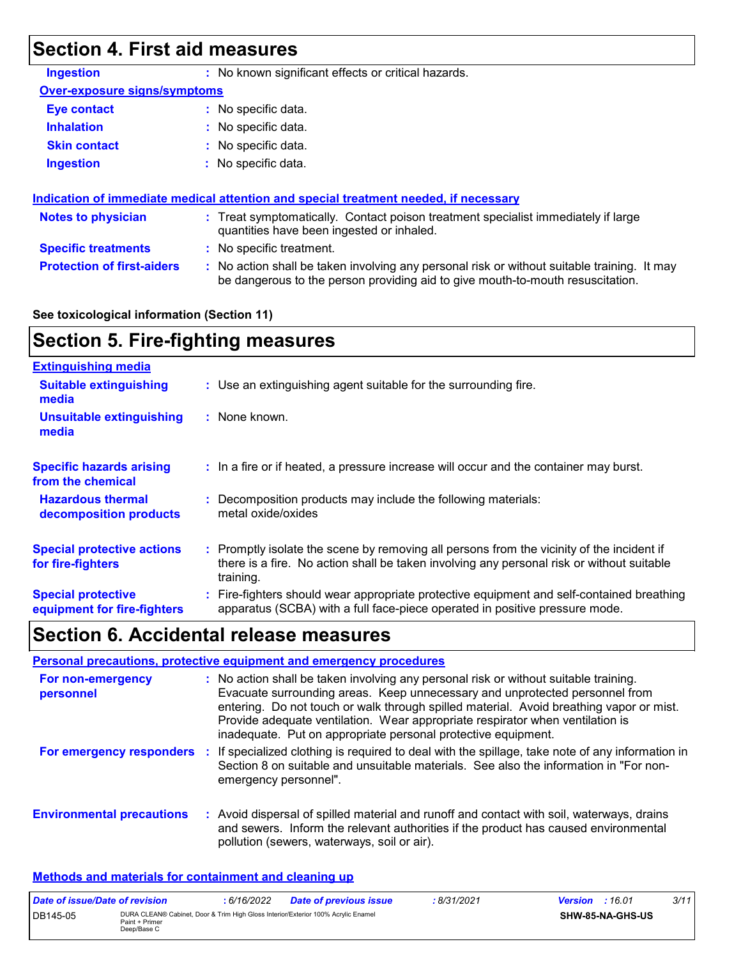# **Section 4. First aid measures**

| <b>Ingestion</b>                    | : No known significant effects or critical hazards.                                                                                                                           |  |
|-------------------------------------|-------------------------------------------------------------------------------------------------------------------------------------------------------------------------------|--|
| <b>Over-exposure signs/symptoms</b> |                                                                                                                                                                               |  |
| <b>Eye contact</b>                  | : No specific data.                                                                                                                                                           |  |
| <b>Inhalation</b>                   | : No specific data.                                                                                                                                                           |  |
| <b>Skin contact</b>                 | : No specific data.                                                                                                                                                           |  |
| <b>Ingestion</b>                    | : No specific data.                                                                                                                                                           |  |
|                                     |                                                                                                                                                                               |  |
|                                     | Indication of immediate medical attention and special treatment needed, if necessary                                                                                          |  |
| <b>Notes to physician</b>           | : Treat symptomatically. Contact poison treatment specialist immediately if large<br>quantities have been ingested or inhaled.                                                |  |
| <b>Specific treatments</b>          | : No specific treatment.                                                                                                                                                      |  |
| <b>Protection of first-aiders</b>   | : No action shall be taken involving any personal risk or without suitable training. It may<br>be dangerous to the person providing aid to give mouth-to-mouth resuscitation. |  |

#### **See toxicological information (Section 11)**

### **Section 5. Fire-fighting measures**

| <b>Extinguishing media</b>                               |                                                                                                                                                                                                     |
|----------------------------------------------------------|-----------------------------------------------------------------------------------------------------------------------------------------------------------------------------------------------------|
| <b>Suitable extinguishing</b><br>media                   | : Use an extinguishing agent suitable for the surrounding fire.                                                                                                                                     |
| <b>Unsuitable extinguishing</b><br>media                 | $:$ None known.                                                                                                                                                                                     |
| <b>Specific hazards arising</b><br>from the chemical     | : In a fire or if heated, a pressure increase will occur and the container may burst.                                                                                                               |
| <b>Hazardous thermal</b><br>decomposition products       | Decomposition products may include the following materials:<br>metal oxide/oxides                                                                                                                   |
| <b>Special protective actions</b><br>for fire-fighters   | : Promptly isolate the scene by removing all persons from the vicinity of the incident if<br>there is a fire. No action shall be taken involving any personal risk or without suitable<br>training. |
| <b>Special protective</b><br>equipment for fire-fighters | Fire-fighters should wear appropriate protective equipment and self-contained breathing<br>apparatus (SCBA) with a full face-piece operated in positive pressure mode.                              |

### **Section 6. Accidental release measures**

|                                  | Personal precautions, protective equipment and emergency procedures                                                                                                                                                                                                                                                                                                                                              |
|----------------------------------|------------------------------------------------------------------------------------------------------------------------------------------------------------------------------------------------------------------------------------------------------------------------------------------------------------------------------------------------------------------------------------------------------------------|
| For non-emergency<br>personnel   | : No action shall be taken involving any personal risk or without suitable training.<br>Evacuate surrounding areas. Keep unnecessary and unprotected personnel from<br>entering. Do not touch or walk through spilled material. Avoid breathing vapor or mist.<br>Provide adequate ventilation. Wear appropriate respirator when ventilation is<br>inadequate. Put on appropriate personal protective equipment. |
|                                  | For emergency responders : If specialized clothing is required to deal with the spillage, take note of any information in<br>Section 8 on suitable and unsuitable materials. See also the information in "For non-<br>emergency personnel".                                                                                                                                                                      |
| <b>Environmental precautions</b> | : Avoid dispersal of spilled material and runoff and contact with soil, waterways, drains<br>and sewers. Inform the relevant authorities if the product has caused environmental<br>pollution (sewers, waterways, soil or air).                                                                                                                                                                                  |

#### **Methods and materials for containment and cleaning up**

| Date of issue/Date of revision |                                                                                                                    | : 6/16/2022 | <b>Date of previous issue</b> | 8/31/2021 | <b>Version</b> : 16.01 |                         | 3/11 |
|--------------------------------|--------------------------------------------------------------------------------------------------------------------|-------------|-------------------------------|-----------|------------------------|-------------------------|------|
| DB145-05                       | DURA CLEAN® Cabinet, Door & Trim High Gloss Interior/Exterior 100% Acrylic Enamel<br>Paint + Primer<br>Deep/Base C |             |                               |           |                        | <b>SHW-85-NA-GHS-US</b> |      |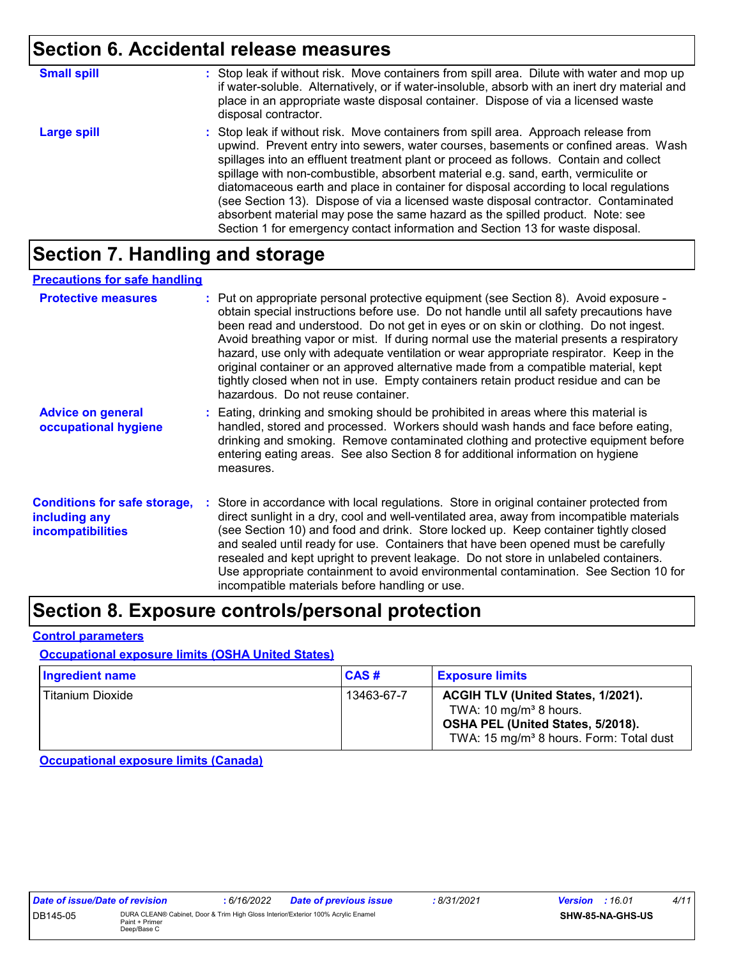### **Section 6. Accidental release measures**

| <b>Small spill</b> | : Stop leak if without risk. Move containers from spill area. Dilute with water and mop up<br>if water-soluble. Alternatively, or if water-insoluble, absorb with an inert dry material and<br>place in an appropriate waste disposal container. Dispose of via a licensed waste<br>disposal contractor.                                                                                                                                                                                                                                                                                                                                                                                                     |
|--------------------|--------------------------------------------------------------------------------------------------------------------------------------------------------------------------------------------------------------------------------------------------------------------------------------------------------------------------------------------------------------------------------------------------------------------------------------------------------------------------------------------------------------------------------------------------------------------------------------------------------------------------------------------------------------------------------------------------------------|
| <b>Large spill</b> | : Stop leak if without risk. Move containers from spill area. Approach release from<br>upwind. Prevent entry into sewers, water courses, basements or confined areas. Wash<br>spillages into an effluent treatment plant or proceed as follows. Contain and collect<br>spillage with non-combustible, absorbent material e.g. sand, earth, vermiculite or<br>diatomaceous earth and place in container for disposal according to local regulations<br>(see Section 13). Dispose of via a licensed waste disposal contractor. Contaminated<br>absorbent material may pose the same hazard as the spilled product. Note: see<br>Section 1 for emergency contact information and Section 13 for waste disposal. |

### **Section 7. Handling and storage**

#### **Precautions for safe handling**

| <b>Protective measures</b>                                                       | : Put on appropriate personal protective equipment (see Section 8). Avoid exposure -<br>obtain special instructions before use. Do not handle until all safety precautions have<br>been read and understood. Do not get in eyes or on skin or clothing. Do not ingest.<br>Avoid breathing vapor or mist. If during normal use the material presents a respiratory<br>hazard, use only with adequate ventilation or wear appropriate respirator. Keep in the<br>original container or an approved alternative made from a compatible material, kept<br>tightly closed when not in use. Empty containers retain product residue and can be<br>hazardous. Do not reuse container. |
|----------------------------------------------------------------------------------|--------------------------------------------------------------------------------------------------------------------------------------------------------------------------------------------------------------------------------------------------------------------------------------------------------------------------------------------------------------------------------------------------------------------------------------------------------------------------------------------------------------------------------------------------------------------------------------------------------------------------------------------------------------------------------|
| <b>Advice on general</b><br>occupational hygiene                                 | : Eating, drinking and smoking should be prohibited in areas where this material is<br>handled, stored and processed. Workers should wash hands and face before eating,<br>drinking and smoking. Remove contaminated clothing and protective equipment before<br>entering eating areas. See also Section 8 for additional information on hygiene<br>measures.                                                                                                                                                                                                                                                                                                                  |
| <b>Conditions for safe storage,</b><br>including any<br><b>incompatibilities</b> | Store in accordance with local regulations. Store in original container protected from<br>direct sunlight in a dry, cool and well-ventilated area, away from incompatible materials<br>(see Section 10) and food and drink. Store locked up. Keep container tightly closed<br>and sealed until ready for use. Containers that have been opened must be carefully<br>resealed and kept upright to prevent leakage. Do not store in unlabeled containers.<br>Use appropriate containment to avoid environmental contamination. See Section 10 for<br>incompatible materials before handling or use.                                                                              |

### **Section 8. Exposure controls/personal protection**

#### **Control parameters**

#### **Occupational exposure limits (OSHA United States)**

| Ingredient name  | CAS#       | <b>Exposure limits</b>                                                                                                                                               |
|------------------|------------|----------------------------------------------------------------------------------------------------------------------------------------------------------------------|
| Titanium Dioxide | 13463-67-7 | ACGIH TLV (United States, 1/2021).<br>TWA: 10 mg/m <sup>3</sup> 8 hours.<br>OSHA PEL (United States, 5/2018).<br>TWA: 15 mg/m <sup>3</sup> 8 hours. Form: Total dust |

**Occupational exposure limits (Canada)**

| <i>Date of ISSUe/Date of revision</i> |                                                                                                                    | : 6/16/2022 | <b>Date of previous issue</b> |
|---------------------------------------|--------------------------------------------------------------------------------------------------------------------|-------------|-------------------------------|
| DB145-05                              | DURA CLEAN® Cabinet. Door & Trim High Gloss Interior/Exterior 100% Acrylic Enamel<br>Paint + Primer<br>Deep/Base C |             |                               |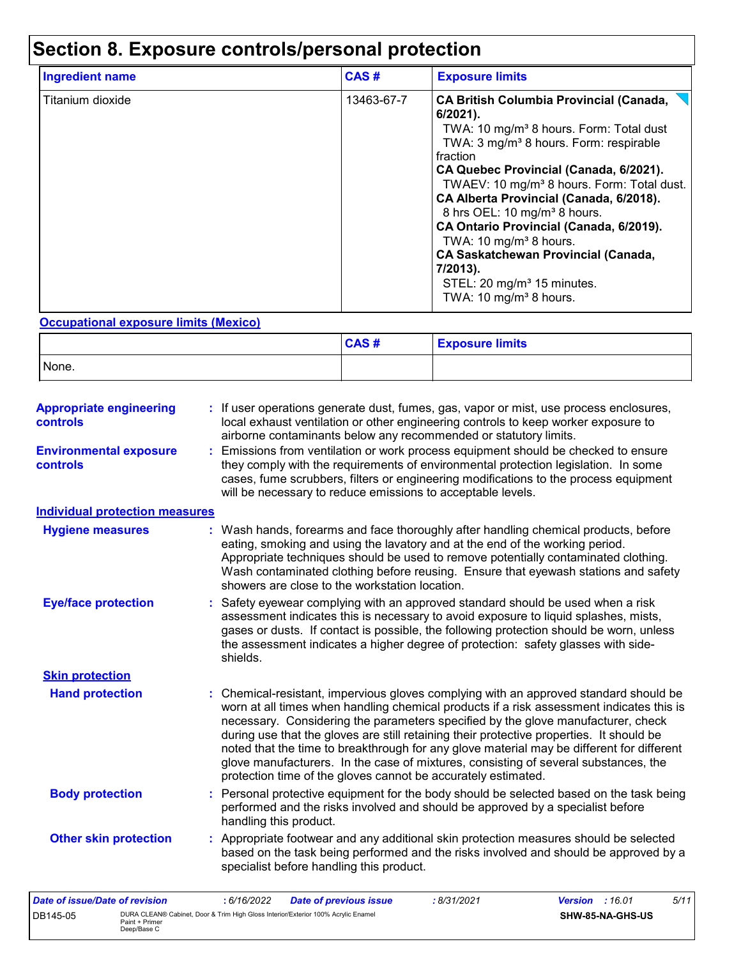# **Section 8. Exposure controls/personal protection**

| Ingredient name  | CAS#       | <b>Exposure limits</b>                                                                                                                                                                                                                                                                                                                                                                                                                                                                                                                                                                                       |
|------------------|------------|--------------------------------------------------------------------------------------------------------------------------------------------------------------------------------------------------------------------------------------------------------------------------------------------------------------------------------------------------------------------------------------------------------------------------------------------------------------------------------------------------------------------------------------------------------------------------------------------------------------|
| Titanium dioxide | 13463-67-7 | <b>CA British Columbia Provincial (Canada,</b><br>$6/2021$ ).<br>TWA: 10 mg/m <sup>3</sup> 8 hours. Form: Total dust<br>TWA: 3 mg/m <sup>3</sup> 8 hours. Form: respirable<br>fraction<br>CA Quebec Provincial (Canada, 6/2021).<br>TWAEV: 10 mg/m <sup>3</sup> 8 hours. Form: Total dust.<br>CA Alberta Provincial (Canada, 6/2018).<br>8 hrs OEL: 10 mg/m <sup>3</sup> 8 hours.<br>CA Ontario Provincial (Canada, 6/2019).<br>TWA: 10 mg/m <sup>3</sup> 8 hours.<br><b>CA Saskatchewan Provincial (Canada,</b><br>7/2013).<br>STEL: 20 mg/m <sup>3</sup> 15 minutes.<br>TWA: 10 mg/m <sup>3</sup> 8 hours. |

#### **Occupational exposure limits (Mexico)**

|       | CAS# | <b>Exposure limits</b> |
|-------|------|------------------------|
| None. |      |                        |

| <b>Appropriate engineering</b><br><b>controls</b> |    | If user operations generate dust, fumes, gas, vapor or mist, use process enclosures,<br>local exhaust ventilation or other engineering controls to keep worker exposure to<br>airborne contaminants below any recommended or statutory limits.                                                                                                                                                                                                                                                                                                                                                                       |
|---------------------------------------------------|----|----------------------------------------------------------------------------------------------------------------------------------------------------------------------------------------------------------------------------------------------------------------------------------------------------------------------------------------------------------------------------------------------------------------------------------------------------------------------------------------------------------------------------------------------------------------------------------------------------------------------|
| <b>Environmental exposure</b><br>controls         |    | Emissions from ventilation or work process equipment should be checked to ensure<br>they comply with the requirements of environmental protection legislation. In some<br>cases, fume scrubbers, filters or engineering modifications to the process equipment<br>will be necessary to reduce emissions to acceptable levels.                                                                                                                                                                                                                                                                                        |
| <b>Individual protection measures</b>             |    |                                                                                                                                                                                                                                                                                                                                                                                                                                                                                                                                                                                                                      |
| <b>Hygiene measures</b>                           |    | Wash hands, forearms and face thoroughly after handling chemical products, before<br>eating, smoking and using the lavatory and at the end of the working period.<br>Appropriate techniques should be used to remove potentially contaminated clothing.<br>Wash contaminated clothing before reusing. Ensure that eyewash stations and safety<br>showers are close to the workstation location.                                                                                                                                                                                                                      |
| <b>Eye/face protection</b>                        |    | Safety eyewear complying with an approved standard should be used when a risk<br>assessment indicates this is necessary to avoid exposure to liquid splashes, mists,<br>gases or dusts. If contact is possible, the following protection should be worn, unless<br>the assessment indicates a higher degree of protection: safety glasses with side-<br>shields.                                                                                                                                                                                                                                                     |
| <b>Skin protection</b>                            |    |                                                                                                                                                                                                                                                                                                                                                                                                                                                                                                                                                                                                                      |
| <b>Hand protection</b>                            |    | Chemical-resistant, impervious gloves complying with an approved standard should be<br>worn at all times when handling chemical products if a risk assessment indicates this is<br>necessary. Considering the parameters specified by the glove manufacturer, check<br>during use that the gloves are still retaining their protective properties. It should be<br>noted that the time to breakthrough for any glove material may be different for different<br>glove manufacturers. In the case of mixtures, consisting of several substances, the<br>protection time of the gloves cannot be accurately estimated. |
| <b>Body protection</b>                            |    | Personal protective equipment for the body should be selected based on the task being<br>performed and the risks involved and should be approved by a specialist before<br>handling this product.                                                                                                                                                                                                                                                                                                                                                                                                                    |
| <b>Other skin protection</b>                      | ÷. | Appropriate footwear and any additional skin protection measures should be selected<br>based on the task being performed and the risks involved and should be approved by a<br>specialist before handling this product.                                                                                                                                                                                                                                                                                                                                                                                              |

| Date of issue/Date of revision |                                                                                                                    | : 6/16/2022 | <b>Date of previous issue</b> | : 8/31/2021 | <b>Version</b> : 16.01 |                         | 5/11 |
|--------------------------------|--------------------------------------------------------------------------------------------------------------------|-------------|-------------------------------|-------------|------------------------|-------------------------|------|
| DB145-05                       | DURA CLEAN® Cabinet, Door & Trim High Gloss Interior/Exterior 100% Acrylic Enamel<br>Paint + Primer<br>Deep/Base C |             |                               |             |                        | <b>SHW-85-NA-GHS-US</b> |      |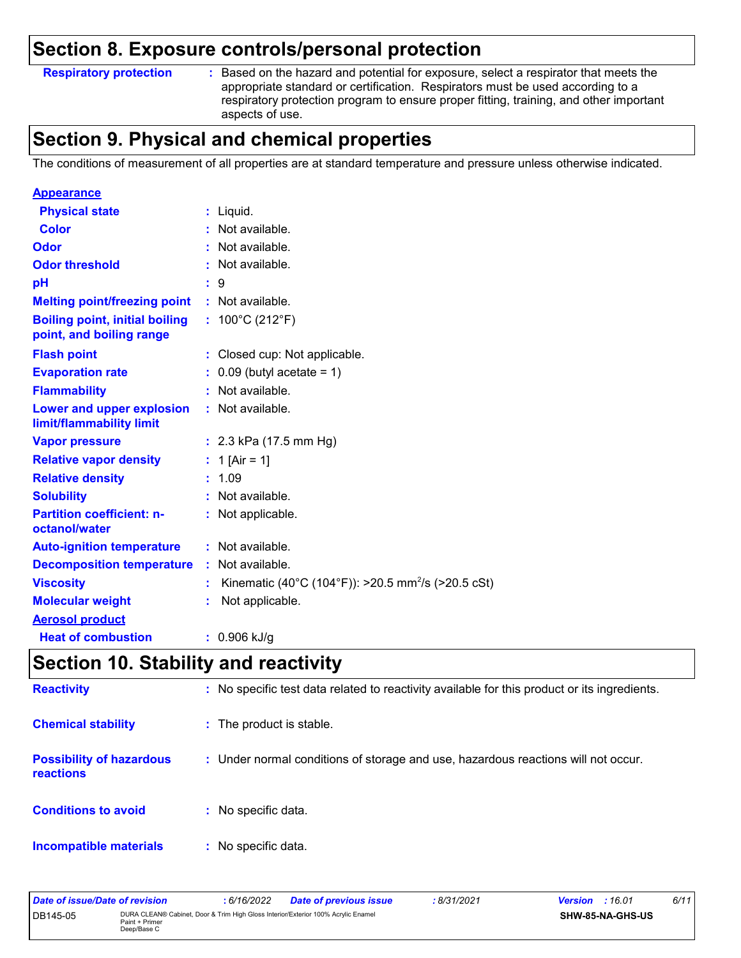### **Section 8. Exposure controls/personal protection**

#### **Respiratory protection :**

Based on the hazard and potential for exposure, select a respirator that meets the appropriate standard or certification. Respirators must be used according to a respiratory protection program to ensure proper fitting, training, and other important aspects of use.

### **Section 9. Physical and chemical properties**

The conditions of measurement of all properties are at standard temperature and pressure unless otherwise indicated.

| <b>Appearance</b>                                                 |        |                                                                |
|-------------------------------------------------------------------|--------|----------------------------------------------------------------|
| <b>Physical state</b>                                             | t.     | Liquid.                                                        |
| <b>Color</b>                                                      |        | Not available.                                                 |
| Odor                                                              |        | Not available.                                                 |
| <b>Odor threshold</b>                                             |        | Not available.                                                 |
| pH                                                                | : 9    |                                                                |
| <b>Melting point/freezing point</b>                               |        | : Not available.                                               |
| <b>Boiling point, initial boiling</b><br>point, and boiling range |        | : $100^{\circ}$ C (212 $^{\circ}$ F)                           |
| <b>Flash point</b>                                                |        | : Closed cup: Not applicable.                                  |
| <b>Evaporation rate</b>                                           |        | $\therefore$ 0.09 (butyl acetate = 1)                          |
| <b>Flammability</b>                                               |        | : Not available.                                               |
| Lower and upper explosion<br>limit/flammability limit             |        | : Not available.                                               |
| <b>Vapor pressure</b>                                             |        | : $2.3$ kPa (17.5 mm Hg)                                       |
| <b>Relative vapor density</b>                                     |        | : 1 [Air = 1]                                                  |
| <b>Relative density</b>                                           | : 1.09 |                                                                |
| <b>Solubility</b>                                                 |        | : Not available.                                               |
| <b>Partition coefficient: n-</b><br>octanol/water                 |        | : Not applicable.                                              |
| <b>Auto-ignition temperature</b>                                  |        | : Not available.                                               |
| <b>Decomposition temperature</b>                                  |        | : Not available.                                               |
| <b>Viscosity</b>                                                  |        | Kinematic (40°C (104°F)): >20.5 mm <sup>2</sup> /s (>20.5 cSt) |
| <b>Molecular weight</b>                                           | t.     | Not applicable.                                                |
| <b>Aerosol product</b>                                            |        |                                                                |
| <b>Heat of combustion</b>                                         |        | $: 0.906$ kJ/g                                                 |

### **Section 10. Stability and reactivity**

| <b>Reactivity</b>                            | : No specific test data related to reactivity available for this product or its ingredients. |
|----------------------------------------------|----------------------------------------------------------------------------------------------|
| <b>Chemical stability</b>                    | : The product is stable.                                                                     |
| <b>Possibility of hazardous</b><br>reactions | : Under normal conditions of storage and use, hazardous reactions will not occur.            |
| <b>Conditions to avoid</b>                   | : No specific data.                                                                          |
| <b>Incompatible materials</b>                | : No specific data.                                                                          |

| Date of issue/Date of revision |                                                                                                                    | 6/16/2022 | <b>Date of previous issue</b> | 8/31/2021 | <b>Version</b> : 16.01 |                  | 6/11 |
|--------------------------------|--------------------------------------------------------------------------------------------------------------------|-----------|-------------------------------|-----------|------------------------|------------------|------|
| DB145-05                       | DURA CLEAN® Cabinet, Door & Trim High Gloss Interior/Exterior 100% Acrylic Enamel<br>Paint + Primer<br>Deep/Base C |           |                               |           |                        | SHW-85-NA-GHS-US |      |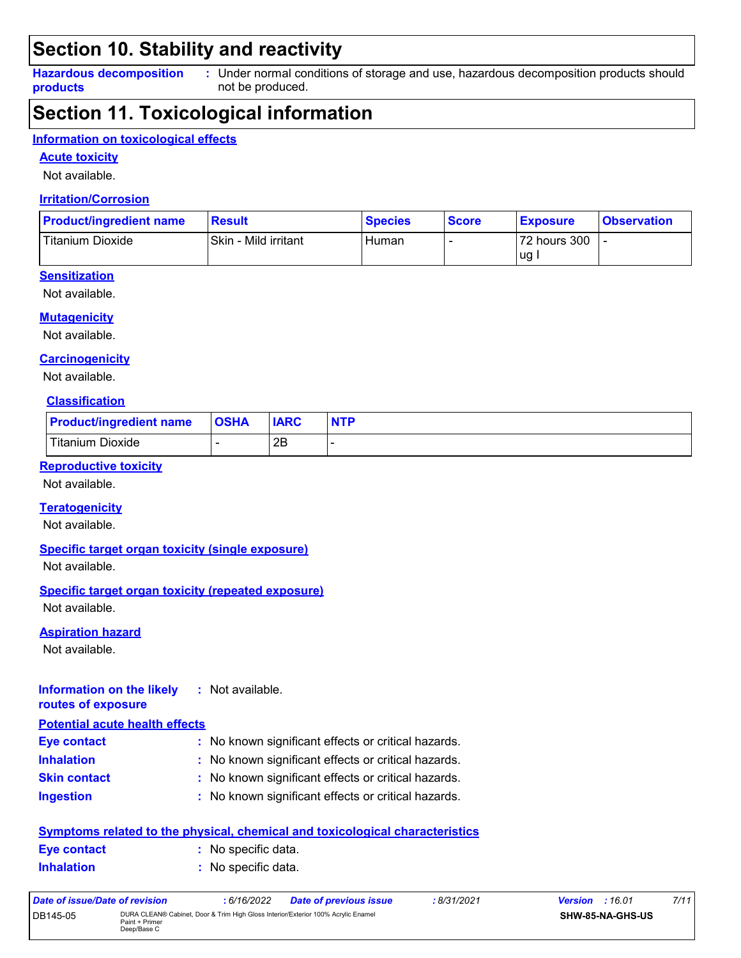### **Section 10. Stability and reactivity**

**Hazardous decomposition products** Under normal conditions of storage and use, hazardous decomposition products should **:** not be produced.

### **Section 11. Toxicological information**

#### **Information on toxicological effects**

**Acute toxicity**

Not available.

#### **Irritation/Corrosion**

| <b>Product/ingredient name</b> | <b>Result</b>        | <b>Species</b> | <b>Score</b> | <b>Exposure</b> | <b>Observation</b> |
|--------------------------------|----------------------|----------------|--------------|-----------------|--------------------|
| Titanium Dioxide               | Skin - Mild irritant | Human          |              | 72 hours 300    |                    |
|                                |                      |                |              | ug.             |                    |

#### **Sensitization**

Not available.

#### **Mutagenicity**

Not available.

#### **Carcinogenicity**

Not available.

#### **Classification**

| <b>Product/ingredient name</b> | <b>OSHA</b> | <b>IARC</b> | <b>NTP</b> |
|--------------------------------|-------------|-------------|------------|
| <b>Titanium Dioxide</b>        |             | 2Β          |            |

#### **Reproductive toxicity**

Not available.

#### **Teratogenicity**

Not available.

#### **Specific target organ toxicity (single exposure)**

Not available.

#### **Specific target organ toxicity (repeated exposure)**

Not available.

#### **Aspiration hazard**

Not available.

#### **Information on the likely routes of exposure :** Not available.

#### **Potential acute health effects**

| <b>Eye contact</b>  | : No known significant effects or critical hazards. |
|---------------------|-----------------------------------------------------|
| <b>Inhalation</b>   | : No known significant effects or critical hazards. |
| <b>Skin contact</b> | : No known significant effects or critical hazards. |
| <b>Ingestion</b>    | : No known significant effects or critical hazards. |

| <u>Symptoms related to the physical, chemical and toxicological characteristics</u> |  |                     |  |  |
|-------------------------------------------------------------------------------------|--|---------------------|--|--|
| Eye contact                                                                         |  | : No specific data. |  |  |
| <b>Inhalation</b>                                                                   |  | : No specific data. |  |  |

| Date of issue/Date of revision |                                                                                                                    | : 6/16/2022 | <b>Date of previous issue</b> | : 8/31/2021 | <b>Version</b> : 16.01 |                         | 7/11 |
|--------------------------------|--------------------------------------------------------------------------------------------------------------------|-------------|-------------------------------|-------------|------------------------|-------------------------|------|
| DB145-05                       | DURA CLEAN® Cabinet, Door & Trim High Gloss Interior/Exterior 100% Acrylic Enamel<br>Paint + Primer<br>Deep/Base C |             |                               |             |                        | <b>SHW-85-NA-GHS-US</b> |      |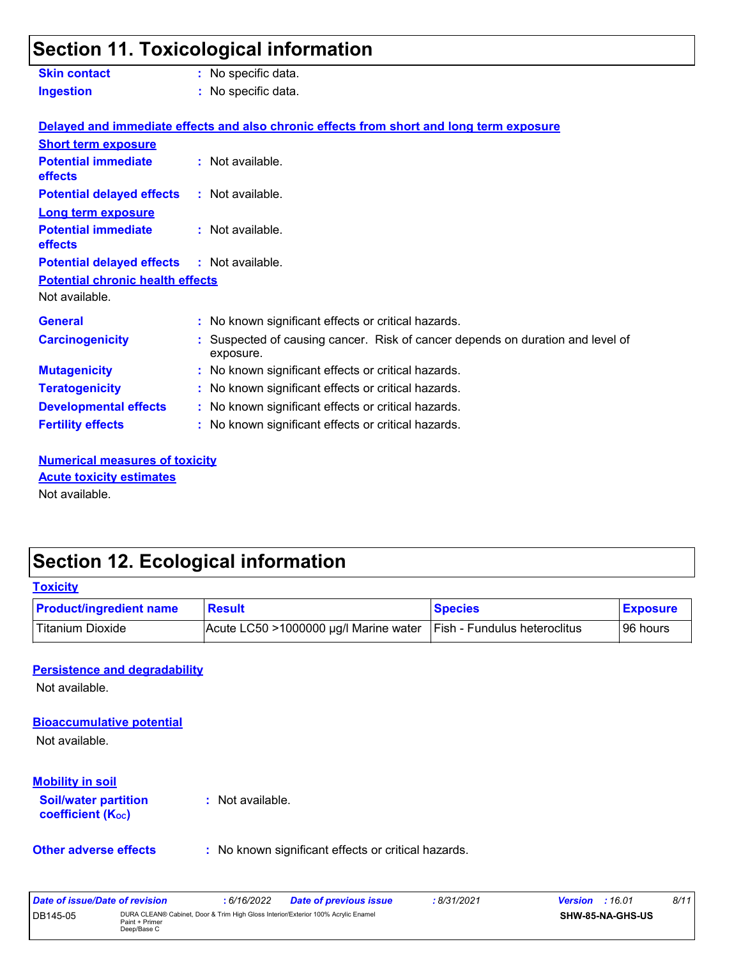# **Section 11. Toxicological information**

| <b>Skin contact</b>                               | : No specific data.                                                                         |
|---------------------------------------------------|---------------------------------------------------------------------------------------------|
| <b>Ingestion</b>                                  | : No specific data.                                                                         |
|                                                   | Delayed and immediate effects and also chronic effects from short and long term exposure    |
| <b>Short term exposure</b>                        |                                                                                             |
| <b>Potential immediate</b><br>effects             | $:$ Not available.                                                                          |
| <b>Potential delayed effects</b>                  | : Not available.                                                                            |
| <b>Long term exposure</b>                         |                                                                                             |
| <b>Potential immediate</b><br>effects             | : Not available.                                                                            |
| <b>Potential delayed effects : Not available.</b> |                                                                                             |
| <b>Potential chronic health effects</b>           |                                                                                             |
| Not available.                                    |                                                                                             |
| <b>General</b>                                    | : No known significant effects or critical hazards.                                         |
| <b>Carcinogenicity</b>                            | : Suspected of causing cancer. Risk of cancer depends on duration and level of<br>exposure. |
| <b>Mutagenicity</b>                               | : No known significant effects or critical hazards.                                         |
| <b>Teratogenicity</b>                             | : No known significant effects or critical hazards.                                         |
| <b>Developmental effects</b>                      | : No known significant effects or critical hazards.                                         |
| <b>Fertility effects</b>                          | : No known significant effects or critical hazards.                                         |

**Numerical measures of toxicity** Not available. **Acute toxicity estimates**

### **Section 12. Ecological information**

DB145-05 DURA CLEAN® Cabinet, Door & Trim High Gloss Interior/Exterior 100% Acrylic Enamel

Paint + Primer<br>Deep/Base C

| <b>Product/ingredient name</b>                          | <b>Result</b>                                       | <b>Species</b>                                                        | <b>Exposure</b> |
|---------------------------------------------------------|-----------------------------------------------------|-----------------------------------------------------------------------|-----------------|
| <b>Titanium Dioxide</b>                                 |                                                     | Acute LC50 >1000000 µg/l Marine water<br>Fish - Fundulus heteroclitus |                 |
| <b>Persistence and degradability</b>                    |                                                     |                                                                       |                 |
| Not available.                                          |                                                     |                                                                       |                 |
| <b>Bioaccumulative potential</b>                        |                                                     |                                                                       |                 |
| Not available.                                          |                                                     |                                                                       |                 |
| <b>Mobility in soil</b>                                 |                                                     |                                                                       |                 |
| <b>Soil/water partition</b><br><b>coefficient (Koc)</b> | : Not available.                                    |                                                                       |                 |
| <b>Other adverse effects</b>                            | : No known significant effects or critical hazards. |                                                                       |                 |
| <b>Date of issue/Date of revision</b>                   | : 6/16/2022<br><b>Date of previous issue</b>        | :8/31/2021<br><b>Version</b> : 16.01                                  | 8/11            |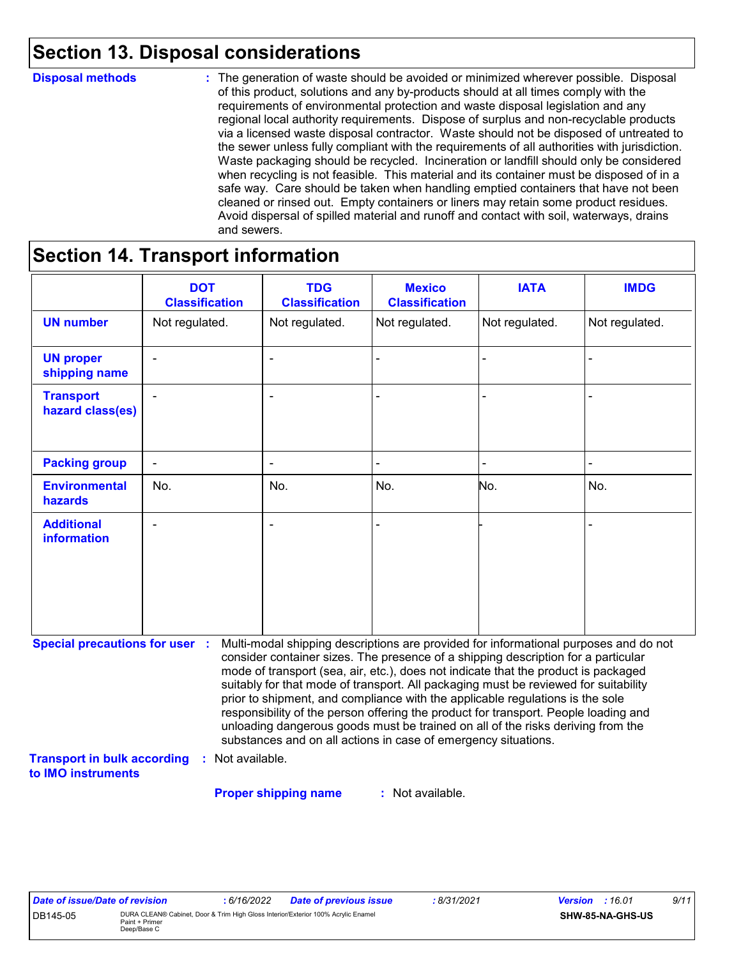### **Section 13. Disposal considerations**

#### **Disposal methods :**

The generation of waste should be avoided or minimized wherever possible. Disposal of this product, solutions and any by-products should at all times comply with the requirements of environmental protection and waste disposal legislation and any regional local authority requirements. Dispose of surplus and non-recyclable products via a licensed waste disposal contractor. Waste should not be disposed of untreated to the sewer unless fully compliant with the requirements of all authorities with jurisdiction. Waste packaging should be recycled. Incineration or landfill should only be considered when recycling is not feasible. This material and its container must be disposed of in a safe way. Care should be taken when handling emptied containers that have not been cleaned or rinsed out. Empty containers or liners may retain some product residues. Avoid dispersal of spilled material and runoff and contact with soil, waterways, drains and sewers.

### **Section 14. Transport information**

|                                                                                                   | <b>DOT</b><br><b>Classification</b> | <b>TDG</b><br><b>Classification</b>                            | <b>Mexico</b><br><b>Classification</b> | <b>IATA</b>                                                                                                                                                                                                                                                                                                                                                                                                                                                                                                                                                                                                       | <b>IMDG</b>    |
|---------------------------------------------------------------------------------------------------|-------------------------------------|----------------------------------------------------------------|----------------------------------------|-------------------------------------------------------------------------------------------------------------------------------------------------------------------------------------------------------------------------------------------------------------------------------------------------------------------------------------------------------------------------------------------------------------------------------------------------------------------------------------------------------------------------------------------------------------------------------------------------------------------|----------------|
| <b>UN number</b>                                                                                  | Not regulated.                      | Not regulated.                                                 | Not regulated.                         | Not regulated.                                                                                                                                                                                                                                                                                                                                                                                                                                                                                                                                                                                                    | Not regulated. |
| <b>UN proper</b><br>shipping name                                                                 |                                     |                                                                |                                        |                                                                                                                                                                                                                                                                                                                                                                                                                                                                                                                                                                                                                   |                |
| <b>Transport</b><br>hazard class(es)                                                              |                                     |                                                                |                                        |                                                                                                                                                                                                                                                                                                                                                                                                                                                                                                                                                                                                                   |                |
| <b>Packing group</b>                                                                              | $\frac{1}{2}$                       | $\overline{\phantom{a}}$                                       |                                        |                                                                                                                                                                                                                                                                                                                                                                                                                                                                                                                                                                                                                   |                |
| <b>Environmental</b><br>hazards                                                                   | No.                                 | No.                                                            | No.                                    | No.                                                                                                                                                                                                                                                                                                                                                                                                                                                                                                                                                                                                               | No.            |
| <b>Additional</b><br><b>information</b>                                                           |                                     |                                                                |                                        |                                                                                                                                                                                                                                                                                                                                                                                                                                                                                                                                                                                                                   |                |
| <b>Special precautions for user :</b><br><b>Transport in bulk according</b><br>to IMO instruments | Not available.                      | substances and on all actions in case of emergency situations. |                                        | Multi-modal shipping descriptions are provided for informational purposes and do not<br>consider container sizes. The presence of a shipping description for a particular<br>mode of transport (sea, air, etc.), does not indicate that the product is packaged<br>suitably for that mode of transport. All packaging must be reviewed for suitability<br>prior to shipment, and compliance with the applicable regulations is the sole<br>responsibility of the person offering the product for transport. People loading and<br>unloading dangerous goods must be trained on all of the risks deriving from the |                |

: Not available. **Proper shipping name :**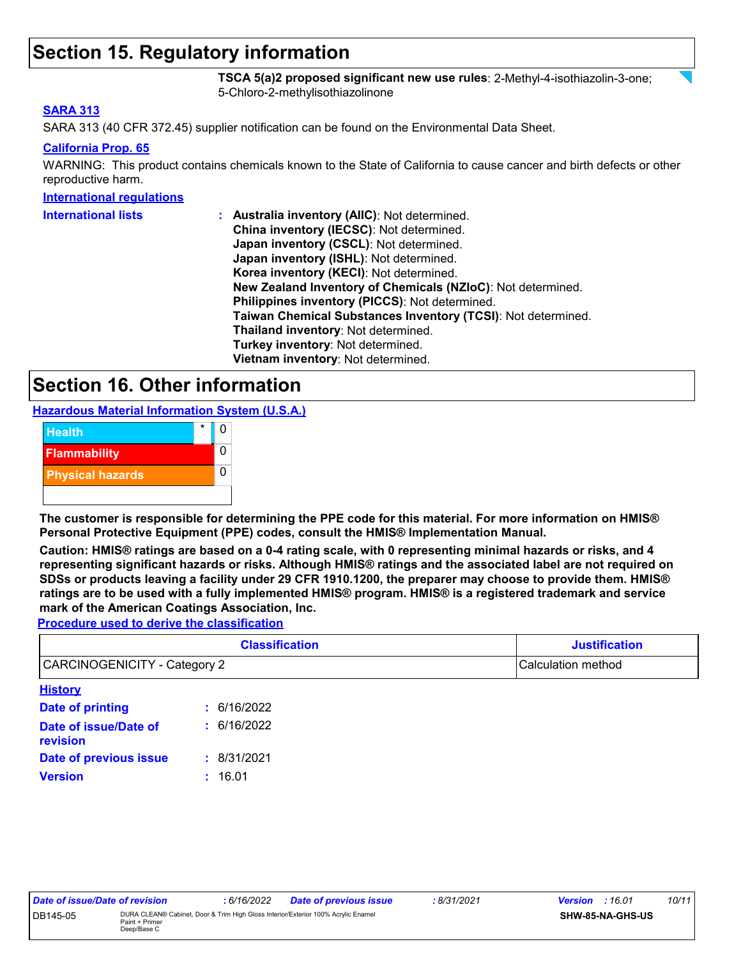### **Section 15. Regulatory information**

**TSCA 5(a)2 proposed significant new use rules**: 2-Methyl-4-isothiazolin-3-one; 5-Chloro-2-methylisothiazolinone

#### **SARA 313**

SARA 313 (40 CFR 372.45) supplier notification can be found on the Environmental Data Sheet.

#### **California Prop. 65**

WARNING: This product contains chemicals known to the State of California to cause cancer and birth defects or other reproductive harm.

#### **International regulations**

| <b>International lists</b> | : Australia inventory (AIIC): Not determined.                |
|----------------------------|--------------------------------------------------------------|
|                            | China inventory (IECSC): Not determined.                     |
|                            | Japan inventory (CSCL): Not determined.                      |
|                            | Japan inventory (ISHL): Not determined.                      |
|                            | Korea inventory (KECI): Not determined.                      |
|                            | New Zealand Inventory of Chemicals (NZIoC): Not determined.  |
|                            | Philippines inventory (PICCS): Not determined.               |
|                            | Taiwan Chemical Substances Inventory (TCSI): Not determined. |
|                            | Thailand inventory: Not determined.                          |
|                            | Turkey inventory: Not determined.                            |
|                            | Vietnam inventory: Not determined.                           |

### **Section 16. Other information**

**Hazardous Material Information System (U.S.A.)**



**The customer is responsible for determining the PPE code for this material. For more information on HMIS® Personal Protective Equipment (PPE) codes, consult the HMIS® Implementation Manual.**

**Caution: HMIS® ratings are based on a 0-4 rating scale, with 0 representing minimal hazards or risks, and 4 representing significant hazards or risks. Although HMIS® ratings and the associated label are not required on SDSs or products leaving a facility under 29 CFR 1910.1200, the preparer may choose to provide them. HMIS® ratings are to be used with a fully implemented HMIS® program. HMIS® is a registered trademark and service mark of the American Coatings Association, Inc.**

**Procedure used to derive the classification**

| <b>Classification</b><br><b>CARCINOGENICITY - Category 2</b> |             | <b>Justification</b> |  |  |  |
|--------------------------------------------------------------|-------------|----------------------|--|--|--|
|                                                              |             | Calculation method   |  |  |  |
| <b>History</b>                                               |             |                      |  |  |  |
| Date of printing                                             | : 6/16/2022 |                      |  |  |  |
| Date of issue/Date of<br>revision                            | : 6/16/2022 |                      |  |  |  |
| Date of previous issue                                       | : 8/31/2021 |                      |  |  |  |
| <b>Version</b>                                               | : 16.01     |                      |  |  |  |

| Date of issue/Date of revision |                                                                                                                    | 6/16/2022 | <b>Date of previous issue</b> | : 8/31/2021 | <b>Version</b> : 16.01 |  | 10/11 |
|--------------------------------|--------------------------------------------------------------------------------------------------------------------|-----------|-------------------------------|-------------|------------------------|--|-------|
| DB145-05                       | DURA CLEAN® Cabinet, Door & Trim High Gloss Interior/Exterior 100% Acrylic Enamel<br>Paint + Primer<br>Deep/Base C |           |                               |             | SHW-85-NA-GHS-US       |  |       |